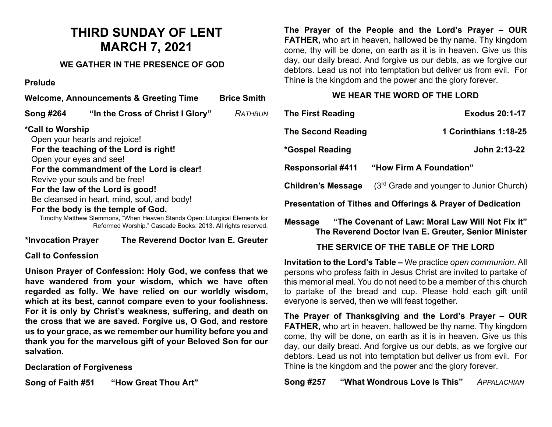# **THIRD SUNDAY OF LENT MARCH 7, 2021**

## **WE GATHER IN THE PRESENCE OF GOD**

## **Prelude**

| <b>Welcome, Announcements &amp; Greeting Time</b> |                                                                             | <b>Brice Smith</b> |
|---------------------------------------------------|-----------------------------------------------------------------------------|--------------------|
| <b>Song #264</b>                                  | "In the Cross of Christ I Glory"                                            | RATHBUN            |
| <i>*Call to Worship</i>                           |                                                                             |                    |
|                                                   | Open your hearts and rejoice!                                               |                    |
|                                                   | For the teaching of the Lord is right!                                      |                    |
|                                                   | Open your eyes and see!                                                     |                    |
|                                                   | For the commandment of the Lord is clear!                                   |                    |
|                                                   | Revive your souls and be free!                                              |                    |
|                                                   | For the law of the Lord is good!                                            |                    |
|                                                   | Be cleansed in heart, mind, soul, and body!                                 |                    |
|                                                   | For the body is the temple of God.                                          |                    |
|                                                   | Timothy Matthow Slammons, "Whon Hooven Stands Open: Liturgical Flamonts for |                    |

Timothy Matthew Slemmons, "When Heaven Stands Open: Liturgical Elements for Reformed Worship." Cascade Books: 2013. All rights reserved.

#### **\*Invocation Prayer The Reverend Doctor Ivan E. Greuter**

## **Call to Confession**

**Unison Prayer of Confession: Holy God, we confess that we have wandered from your wisdom, which we have often regarded as folly. We have relied on our worldly wisdom, which at its best, cannot compare even to your foolishness. For it is only by Christ's weakness, suffering, and death on the cross that we are saved. Forgive us, O God, and restore us to your grace, as we remember our humility before you and thank you for the marvelous gift of your Beloved Son for our salvation.**

**Declaration of Forgiveness** 

**Song of Faith #51 "How Great Thou Art"**

**The Prayer of the People and the Lord's Prayer – OUR FATHER,** who art in heaven, hallowed be thy name. Thy kingdom come, thy will be done, on earth as it is in heaven. Give us this day, our daily bread. And forgive us our debts, as we forgive our debtors. Lead us not into temptation but deliver us from evil. For Thine is the kingdom and the power and the glory forever.

## **WE HEAR THE WORD OF THE LORD**

| <b>The First Reading</b>                                    | <b>Exodus 20:1-17</b>                    |  |  |
|-------------------------------------------------------------|------------------------------------------|--|--|
| <b>The Second Reading</b>                                   | 1 Corinthians 1:18-25                    |  |  |
| <i>*</i> Gospel Reading                                     | John 2:13-22                             |  |  |
| <b>Responsorial #411</b>                                    | "How Firm A Foundation"                  |  |  |
| <b>Children's Message</b>                                   | (3rd Grade and younger to Junior Church) |  |  |
| Presentation of Tithes and Offerings & Prayer of Dedication |                                          |  |  |

## **Message "The Covenant of Law: Moral Law Will Not Fix it" The Reverend Doctor Ivan E. Greuter, Senior Minister**

## **THE SERVICE OF THE TABLE OF THE LORD**

**Invitation to the Lord's Table –** We practice *open communion*. All persons who profess faith in Jesus Christ are invited to partake of this memorial meal. You do not need to be a member of this church to partake of the bread and cup. Please hold each gift until everyone is served, then we will feast together.

**The Prayer of Thanksgiving and the Lord's Prayer – OUR FATHER,** who art in heaven, hallowed be thy name. Thy kingdom come, thy will be done, on earth as it is in heaven. Give us this day, our daily bread. And forgive us our debts, as we forgive our debtors. Lead us not into temptation but deliver us from evil. For Thine is the kingdom and the power and the glory forever.

**Song #257 "What Wondrous Love Is This"** *APPALACHIAN*